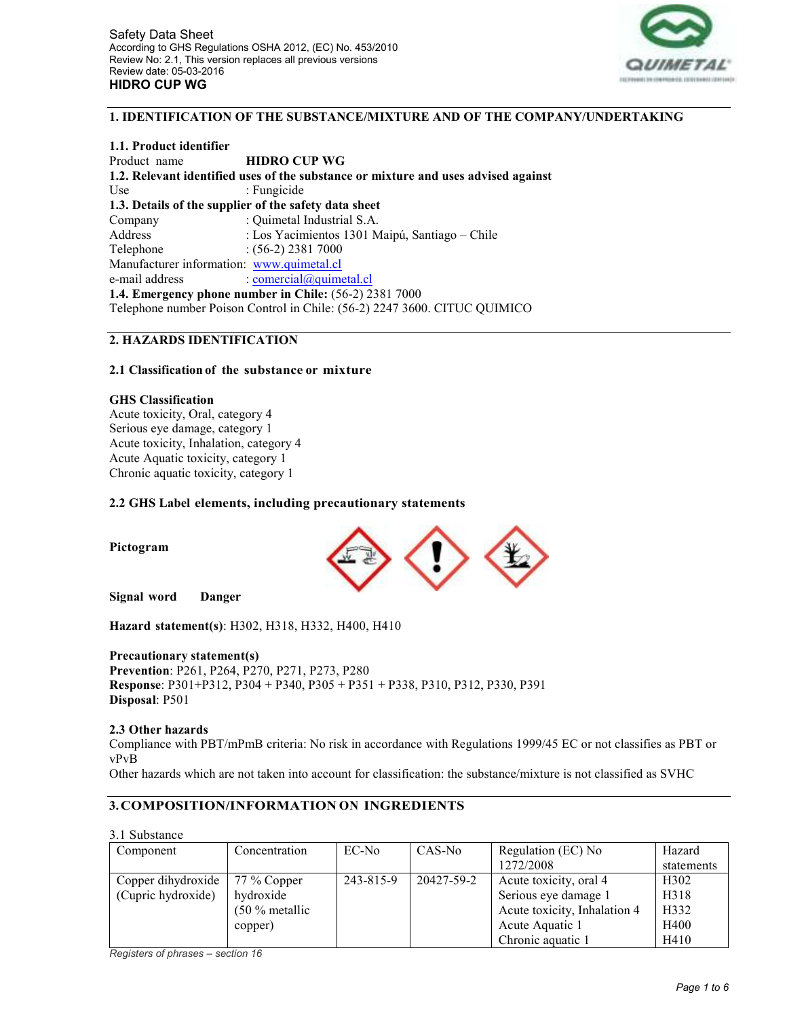

### **1. IDENTIFICATION OF THE SUBSTANCE/MIXTURE AND OF THE COMPANY/UNDERTAKING**

**1.1. Product identifier**  Product name **HIDRO CUP WG 1.2. Relevant identified uses of the substance or mixture and uses advised against**  Use : Fungicide **1.3. Details of the supplier of the safety data sheet**  Company : Quimetal Industrial S.A. Address : Los Yacimientos 1301 Maipú, Santiago – Chile Telephone : (56-2) 2381 7000 Manufacturer information: www.quimetal.cl e-mail address : comercial@quimetal.cl **1.4. Emergency phone number in Chile:** (56-2) 2381 7000 Telephone number Poison Control in Chile: (56-2) 2247 3600. CITUC QUIMICO

## **2. HAZARDS IDENTIFICATION**

#### **2.1 Classification of the substance or mixture**

#### **GHS Classification**

Acute toxicity, Oral, category 4 Serious eye damage, category 1 Acute toxicity, Inhalation, category 4 Acute Aquatic toxicity, category 1 Chronic aquatic toxicity, category 1

## **2.2 GHS Label elements, including precautionary statements**

**Pictogram**

**Signal word Danger**

**Hazard statement(s)**: H302, H318, H332, H400, H410

#### **Precautionary statement(s)**

**Prevention**: P261, P264, P270, P271, P273, P280 **Response**: P301+P312, P304 + P340, P305 + P351 + P338, P310, P312, P330, P391 **Disposal**: P501

#### **2.3 Other hazards**

Compliance with PBT/mPmB criteria: No risk in accordance with Regulations 1999/45 EC or not classifies as PBT or vPvB

Other hazards which are not taken into account for classification: the substance/mixture is not classified as SVHC

## **3. COMPOSITION/INFORMATION ON INGREDIENTS**

3.1 Substance

| Component          | Concentration    | EC-No     | CAS-No     | Regulation (EC) No           | Hazard            |
|--------------------|------------------|-----------|------------|------------------------------|-------------------|
|                    |                  |           |            | 1272/2008                    | statements        |
| Copper dihydroxide | 77 % Copper      | 243-815-9 | 20427-59-2 | Acute toxicity, oral 4       | H <sub>3</sub> 02 |
| (Cupric hydroxide) | hydroxide        |           |            | Serious eye damage 1         | H <sub>3</sub> 18 |
|                    | $(50 %$ metallic |           |            | Acute toxicity, Inhalation 4 | H332              |
|                    | copper)          |           |            | Acute Aquatic 1              | H400              |
|                    |                  |           |            | Chronic aquatic 1            | H410              |

*Registers of phrases – section 16*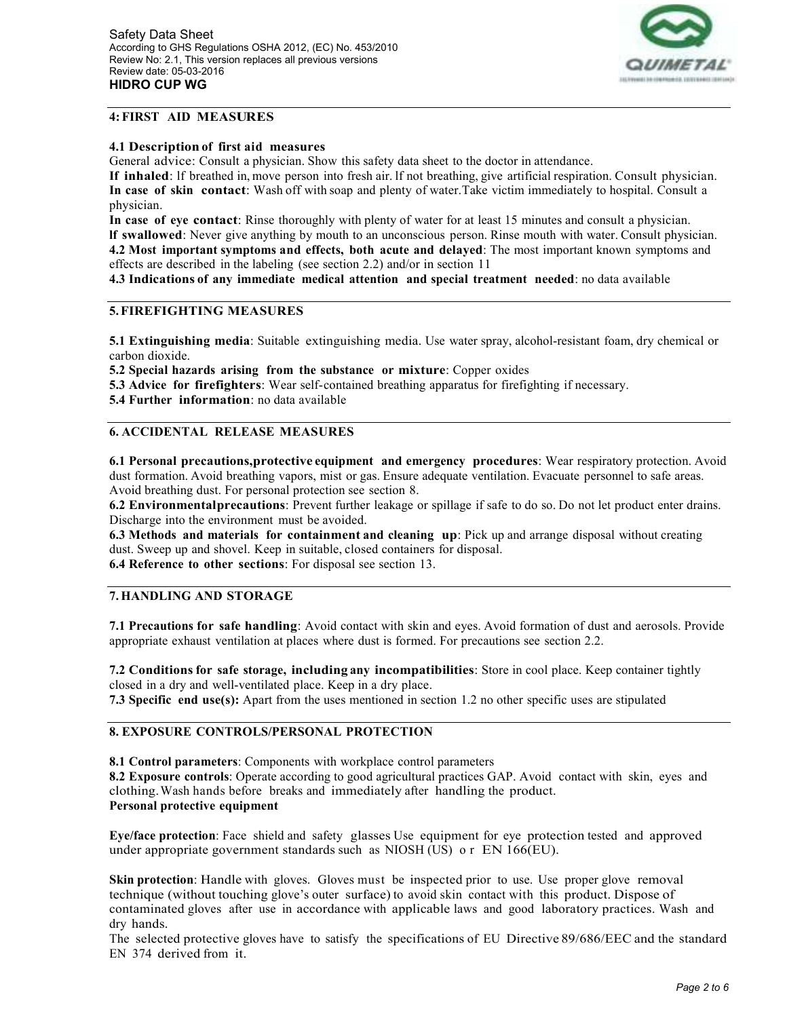

# **4: FIRST AID MEASURES**

### **4.1 Description of first aid measures**

General advice: Consult a physician. Show this safety data sheet to the doctor in attendance.

**If inhaled**: lf breathed in, move person into fresh air. lf not breathing, give artificial respiration. Consult physician. **In case of skin contact**: Wash off with soap and plenty of water. Take victim immediately to hospital. Consult a physician.

**In case of eye contact**: Rinse thoroughly with plenty of water for at least 15 minutes and consult a physician. **lf swallowed**: Never give anything by mouth to an unconscious person. Rinse mouth with water. Consult physician. **4.2 Most important symptoms and effects, both acute and delayed**: The most important known symptoms and effects are described in the labeling (see section 2.2) and/or in section 11

**4.3 Indications of any immediate medical attention and special treatment needed**: no data available

# **5. FIREFIGHTING MEASURES**

**5.1 Extinguishing media**: Suitable extinguishing media. Use water spray, alcohol-resistant foam, dry chemical or carbon dioxide.

**5.2 Special hazards arising from the substance or mixture**: Copper oxides

**5.3 Advice for firefighters**: Wear self-contained breathing apparatus for firefighting if necessary.

**5.4 Further information**: no data available

# **6. ACCIDENTAL RELEASE MEASURES**

**6.1 Personal precautions,protective equipment and emergency procedures**: Wear respiratory protection. Avoid dust formation. Avoid breathing vapors, mist or gas. Ensure adequate ventilation. Evacuate personnel to safe areas. Avoid breathing dust. For personal protection see section 8.

**6.2 Environmentalprecautions**: Prevent further leakage or spillage if safe to do so. Do not let product enter drains. Discharge into the environment must be avoided.

**6.3 Methods and materials for containment and cleaning up**: Pick up and arrange disposal without creating dust. Sweep up and shovel. Keep in suitable, closed containers for disposal.

**6.4 Reference to other sections**: For disposal see section 13.

## **7. HANDLING AND STORAGE**

**7.1 Precautions for safe handling**: Avoid contact with skin and eyes. Avoid formation of dust and aerosols. Provide appropriate exhaust ventilation at places where dust is formed. For precautions see section 2.2.

**7.2 Conditions for safe storage, including any incompatibilities**: Store in cool place. Keep container tightly closed in a dry and well-ventilated place. Keep in a dry place.

**7.3 Specific end use(s):** Apart from the uses mentioned in section 1.2 no other specific uses are stipulated

## **8. EXPOSURE CONTROLS/PERSONAL PROTECTION**

**8.1 Control parameters**: Components with workplace control parameters

**8.2 Exposure controls**: Operate according to good agricultural practices GAP. Avoid contact with skin, eyes and clothing. Wash hands before breaks and immediately after handling the product. **Personal protective equipment**

**Eye/face protection**: Face shield and safety glasses Use equipment for eye protection tested and approved under appropriate government standards such as NIOSH (US) o r EN 166(EU).

**Skin protection**: Handle with gloves. Gloves must be inspected prior to use. Use proper glove removal technique (without touching glove's outer surface) to avoid skin contact with this product. Dispose of contaminated gloves after use in accordance with applicable laws and good laboratory practices. Wash and dry hands.

The selected protective gloves have to satisfy the specifications of EU Directive 89/686/EEC and the standard EN 374 derived from it.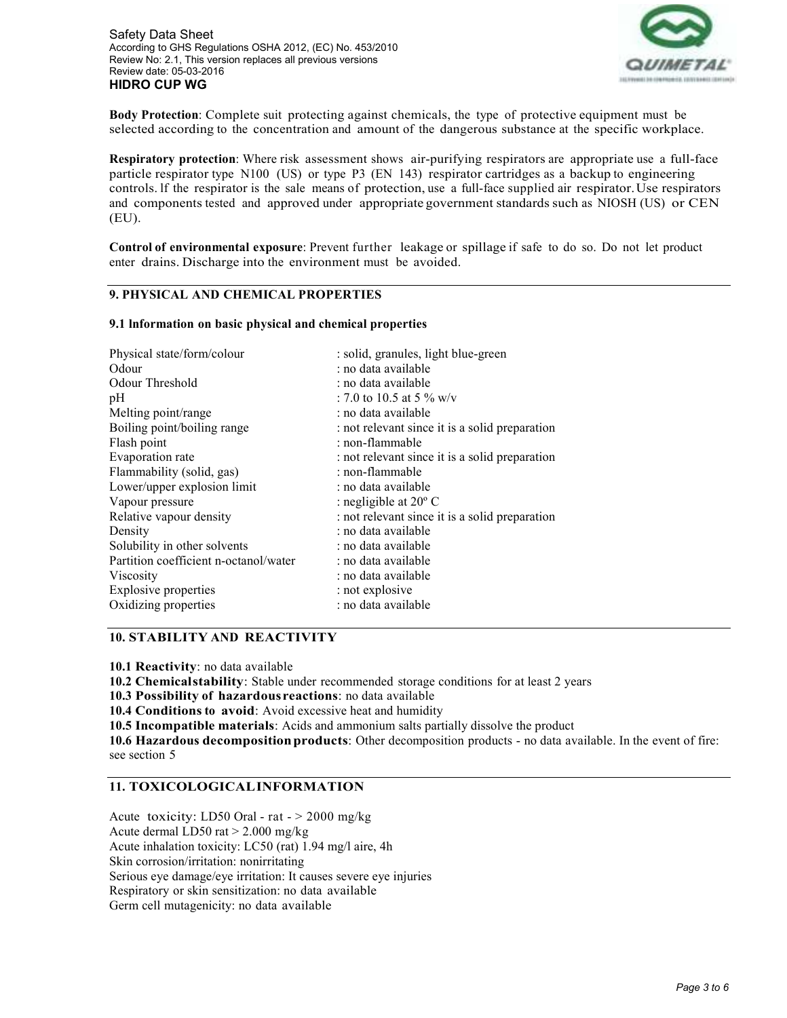

**Body Protection**: Complete suit protecting against chemicals, the type of protective equipment must be selected according to the concentration and amount of the dangerous substance at the specific workplace.

**Respiratory protection**: Where risk assessment shows air-purifying respirators are appropriate use a full-face particle respirator type N100 (US) or type P3 (EN 143) respirator cartridges as a backup to engineering controls. lf the respirator is the sale means of protection, use a full-face supplied air respirator. Use respirators and components tested and approved under appropriate government standards such as NIOSH (US) or CEN (EU).

**Control of environmental exposure**: Prevent further leakage or spillage if safe to do so. Do not let product enter drains. Discharge into the environment must be avoided.

### **9. PHYSICAL AND CHEMICAL PROPERTIES**

#### **9.1 lnformation on basic physical and chemical properties**

| Physical state/form/colour            | : solid, granules, light blue-green            |  |  |
|---------------------------------------|------------------------------------------------|--|--|
| Odour                                 | : no data available                            |  |  |
| Odour Threshold                       | : no data available                            |  |  |
| pH                                    | : 7.0 to 10.5 at 5 % w/v                       |  |  |
| Melting point/range                   | : no data available                            |  |  |
| Boiling point/boiling range           | : not relevant since it is a solid preparation |  |  |
| Flash point                           | : non-flammable                                |  |  |
| Evaporation rate                      | : not relevant since it is a solid preparation |  |  |
| Flammability (solid, gas)             | : non-flammable                                |  |  |
| Lower/upper explosion limit           | : no data available                            |  |  |
| Vapour pressure                       | : negligible at $20^{\circ}$ C                 |  |  |
| Relative vapour density               | : not relevant since it is a solid preparation |  |  |
| Density                               | : no data available                            |  |  |
| Solubility in other solvents          | : no data available                            |  |  |
| Partition coefficient n-octanol/water | : no data available                            |  |  |
| Viscosity                             | : no data available                            |  |  |
| <b>Explosive properties</b>           | : not explosive                                |  |  |
| Oxidizing properties                  | : no data available                            |  |  |

### **10. STABILITY AND REACTIVITY**

**10.1 Reactivity**: no data available

**10.2 Chemicalstability**: Stable under recommended storage conditions for at least 2 years

**10.3 Possibility of hazardous reactions**: no data available

**10.4 Conditions to avoid**: Avoid excessive heat and humidity

**10.5 Incompatible materials**: Acids and ammonium salts partially dissolve the product

**10.6 Hazardous decomposition products**: Other decomposition products - no data available. In the event of fire: see section 5

## **11. TOXICOLOGICALINFORMATION**

Acute toxicity: LD50 Oral - rat - > 2000 mg/kg Acute dermal LD50 rat > 2.000 mg/kg Acute inhalation toxicity: LC50 (rat) 1.94 mg/l aire, 4h Skin corrosion/irritation: nonirritating Serious eye damage/eye irritation: It causes severe eye injuries Respiratory or skin sensitization: no data available Germ cell mutagenicity: no data available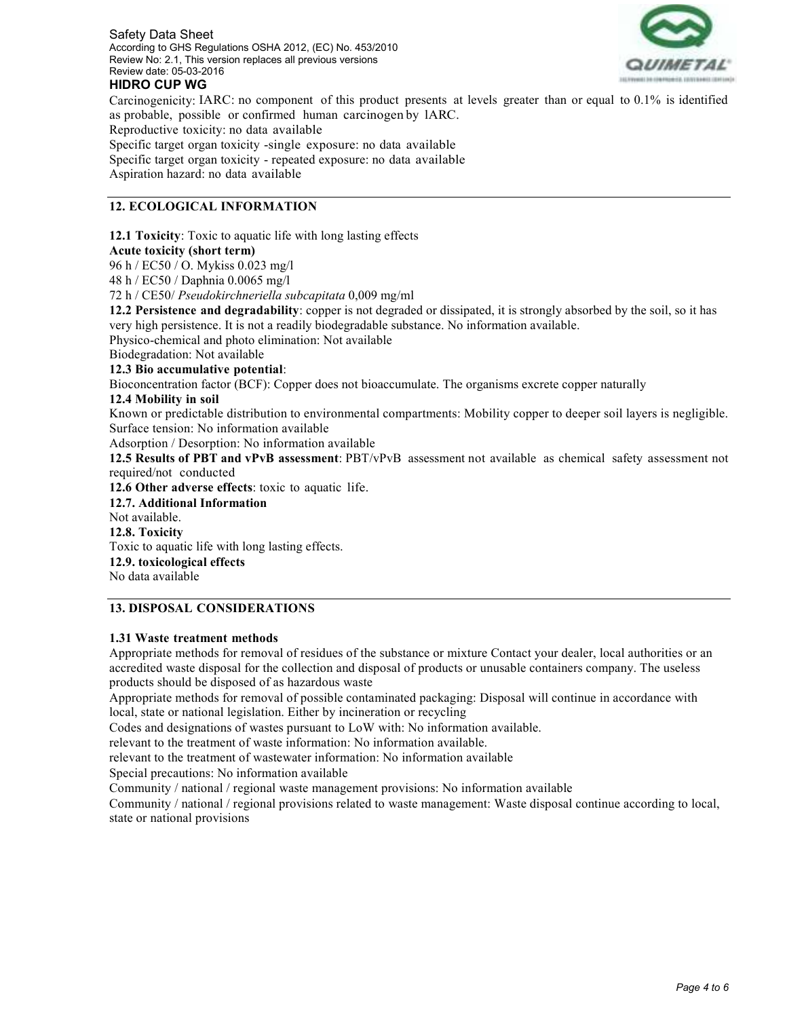

# **HIDRO CUP WG**

Carcinogenicity: IARC: no component of this product presents at levels greater than or equal to 0.1% is identified as probable, possible or confirmed human carcinogen by lARC.

Reproductive toxicity: no data available

Specific target organ toxicity -single exposure: no data available Specific target organ toxicity - repeated exposure: no data available Aspiration hazard: no data available

## **12. ECOLOGICAL INFORMATION**

**12.1 Toxicity**: Toxic to aquatic life with long lasting effects

## **Acute toxicity (short term)**

96 h / EC50 / O. Mykiss 0.023 mg/l

48 h / EC50 / Daphnia 0.0065 mg/l

72 h / CE50/ *Pseudokirchneriella subcapitata* 0,009 mg/ml

**12.2 Persistence and degradability**: copper is not degraded or dissipated, it is strongly absorbed by the soil, so it has very high persistence. It is not a readily biodegradable substance. No information available.

Physico-chemical and photo elimination: Not available

Biodegradation: Not available

## **12.3 Bio accumulative potential**:

Bioconcentration factor (BCF): Copper does not bioaccumulate. The organisms excrete copper naturally

### **12.4 Mobility in soil**

Known or predictable distribution to environmental compartments: Mobility copper to deeper soil layers is negligible. Surface tension: No information available

Adsorption / Desorption: No information available

**12.5 Results of PBT and vPvB assessment**: PBT/vPvB assessment not available as chemical safety assessment not required/not conducted

**12.6 Other adverse effects**: toxic to aquatic life.

**12.7. Additional Information** 

Not available.

**12.8. Toxicity** 

Toxic to aquatic life with long lasting effects.

**12.9. toxicological effects** 

No data available

## **13. DISPOSAL CONSIDERATIONS**

## **1.31 Waste treatment methods**

Appropriate methods for removal of residues of the substance or mixture Contact your dealer, local authorities or an accredited waste disposal for the collection and disposal of products or unusable containers company. The useless products should be disposed of as hazardous waste

Appropriate methods for removal of possible contaminated packaging: Disposal will continue in accordance with local, state or national legislation. Either by incineration or recycling

Codes and designations of wastes pursuant to LoW with: No information available.

relevant to the treatment of waste information: No information available.

relevant to the treatment of wastewater information: No information available

Special precautions: No information available

Community / national / regional waste management provisions: No information available

Community / national / regional provisions related to waste management: Waste disposal continue according to local, state or national provisions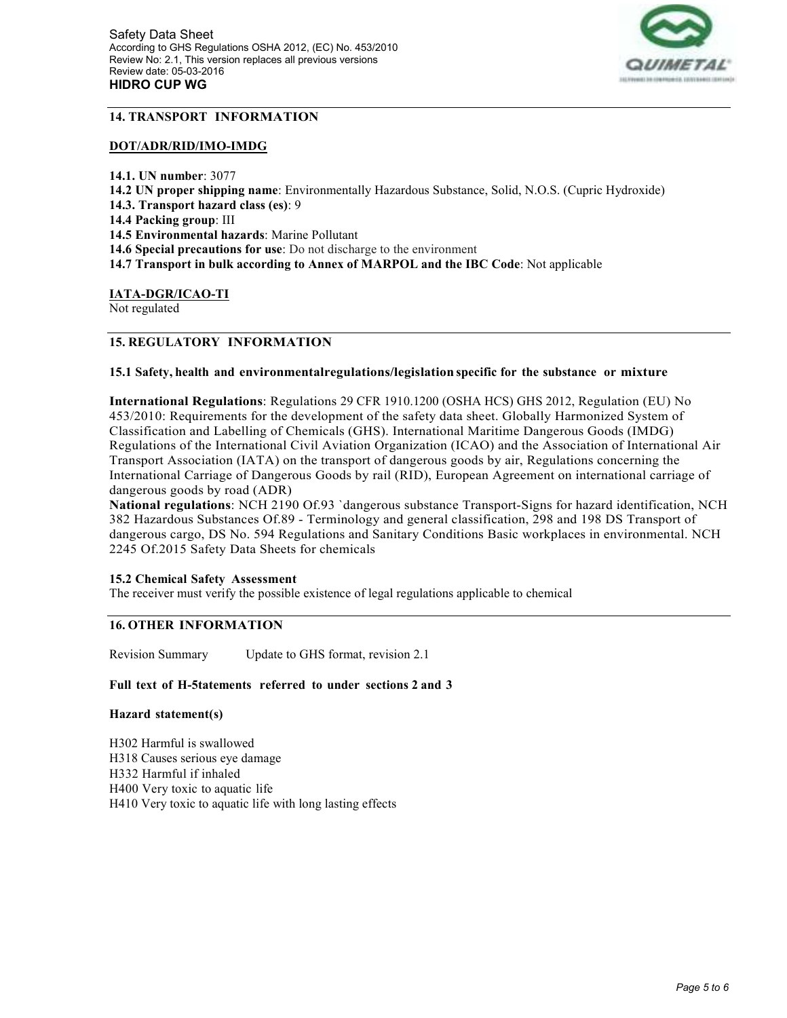

# **14. TRANSPORT INFORMATION**

#### **DOT/ADR/RID/IMO-IMDG**

**14.1. UN number**: 3077 **14.2 UN proper shipping name**: Environmentally Hazardous Substance, Solid, N.O.S. (Cupric Hydroxide) **14.3. Transport hazard class (es)**: 9 **14.4 Packing group**: III **14.5 Environmental hazards**: Marine Pollutant **14.6 Special precautions for use**: Do not discharge to the environment **14.7 Transport in bulk according to Annex of MARPOL and the IBC Code**: Not applicable

### **IATA-DGR/ICAO-TI**

Not regulated

# **15. REGULATORY INFORMATION**

### **15.1 Safety, health and environmentalregulations/legislation specific for the substance or mixture**

**International Regulations**: Regulations 29 CFR 1910.1200 (OSHA HCS) GHS 2012, Regulation (EU) No 453/2010: Requirements for the development of the safety data sheet. Globally Harmonized System of Classification and Labelling of Chemicals (GHS). International Maritime Dangerous Goods (IMDG) Regulations of the International Civil Aviation Organization (ICAO) and the Association of International Air Transport Association (IATA) on the transport of dangerous goods by air, Regulations concerning the International Carriage of Dangerous Goods by rail (RID), European Agreement on international carriage of dangerous goods by road (ADR)

**National regulations**: NCH 2190 Of.93 `dangerous substance Transport-Signs for hazard identification, NCH 382 Hazardous Substances Of.89 - Terminology and general classification, 298 and 198 DS Transport of dangerous cargo, DS No. 594 Regulations and Sanitary Conditions Basic workplaces in environmental. NCH 2245 Of.2015 Safety Data Sheets for chemicals

#### **15.2 Chemical Safety Assessment**

The receiver must verify the possible existence of legal regulations applicable to chemical

## **16. OTHER INFORMATION**

Revision Summary Update to GHS format, revision 2.1

#### **Full text of H-5tatements referred to under sections 2 and 3**

#### **Hazard statement(s)**

H302 Harmful is swallowed H318 Causes serious eye damage H332 Harmful if inhaled H400 Very toxic to aquatic life H410 Very toxic to aquatic life with long lasting effects